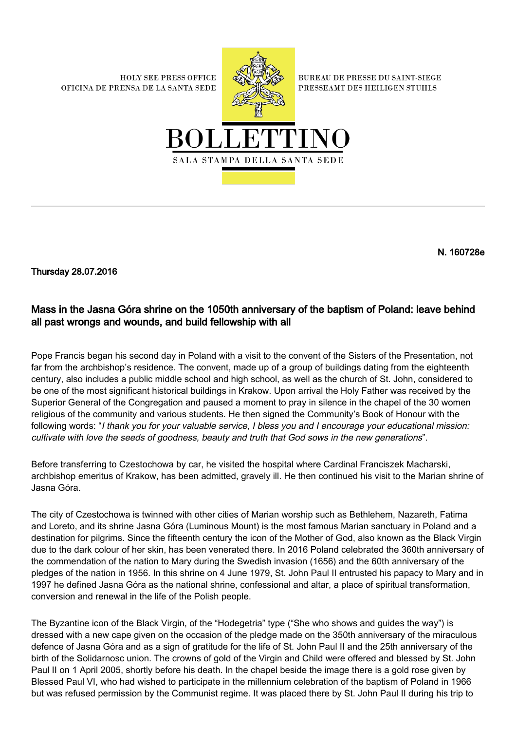**HOLY SEE PRESS OFFICE** OFICINA DE PRENSA DE LA SANTA SEDE



**BUREAU DE PRESSE DU SAINT-SIEGE** PRESSEAMT DES HEILIGEN STUHLS



N. 160728e

Thursday 28.07.2016

## Mass in the Jasna Góra shrine on the 1050th anniversary of the baptism of Poland: leave behind all past wrongs and wounds, and build fellowship with all

Pope Francis began his second day in Poland with a visit to the convent of the Sisters of the Presentation, not far from the archbishop's residence. The convent, made up of a group of buildings dating from the eighteenth century, also includes a public middle school and high school, as well as the church of St. John, considered to be one of the most significant historical buildings in Krakow. Upon arrival the Holy Father was received by the Superior General of the Congregation and paused a moment to pray in silence in the chapel of the 30 women religious of the community and various students. He then signed the Community's Book of Honour with the following words: "I thank you for your valuable service, I bless you and I encourage your educational mission: cultivate with love the seeds of goodness, beauty and truth that God sows in the new generations".

Before transferring to Czestochowa by car, he visited the hospital where Cardinal Franciszek Macharski, archbishop emeritus of Krakow, has been admitted, gravely ill. He then continued his visit to the Marian shrine of Jasna Góra.

The city of Czestochowa is twinned with other cities of Marian worship such as Bethlehem, Nazareth, Fatima and Loreto, and its shrine Jasna Góra (Luminous Mount) is the most famous Marian sanctuary in Poland and a destination for pilgrims. Since the fifteenth century the icon of the Mother of God, also known as the Black Virgin due to the dark colour of her skin, has been venerated there. In 2016 Poland celebrated the 360th anniversary of the commendation of the nation to Mary during the Swedish invasion (1656) and the 60th anniversary of the pledges of the nation in 1956. In this shrine on 4 June 1979, St. John Paul II entrusted his papacy to Mary and in 1997 he defined Jasna Góra as the national shrine, confessional and altar, a place of spiritual transformation, conversion and renewal in the life of the Polish people.

The Byzantine icon of the Black Virgin, of the "Hodegetria" type ("She who shows and guides the way") is dressed with a new cape given on the occasion of the pledge made on the 350th anniversary of the miraculous defence of Jasna Góra and as a sign of gratitude for the life of St. John Paul II and the 25th anniversary of the birth of the Solidarnosc union. The crowns of gold of the Virgin and Child were offered and blessed by St. John Paul II on 1 April 2005, shortly before his death. In the chapel beside the image there is a gold rose given by Blessed Paul VI, who had wished to participate in the millennium celebration of the baptism of Poland in 1966 but was refused permission by the Communist regime. It was placed there by St. John Paul II during his trip to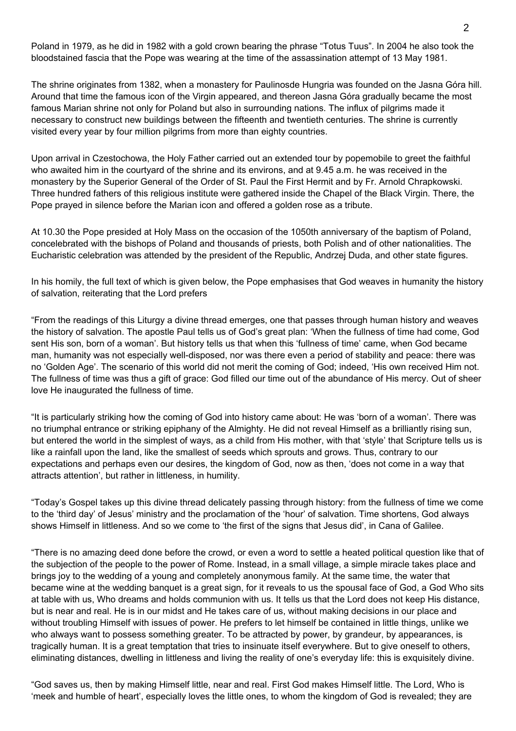Poland in 1979, as he did in 1982 with a gold crown bearing the phrase "Totus Tuus". In 2004 he also took the bloodstained fascia that the Pope was wearing at the time of the assassination attempt of 13 May 1981.

The shrine originates from 1382, when a monastery for Paulinosde Hungria was founded on the Jasna Góra hill. Around that time the famous icon of the Virgin appeared, and thereon Jasna Góra gradually became the most famous Marian shrine not only for Poland but also in surrounding nations. The influx of pilgrims made it necessary to construct new buildings between the fifteenth and twentieth centuries. The shrine is currently visited every year by four million pilgrims from more than eighty countries.

Upon arrival in Czestochowa, the Holy Father carried out an extended tour by popemobile to greet the faithful who awaited him in the courtyard of the shrine and its environs, and at 9.45 a.m. he was received in the monastery by the Superior General of the Order of St. Paul the First Hermit and by Fr. Arnold Chrapkowski. Three hundred fathers of this religious institute were gathered inside the Chapel of the Black Virgin. There, the Pope prayed in silence before the Marian icon and offered a golden rose as a tribute.

At 10.30 the Pope presided at Holy Mass on the occasion of the 1050th anniversary of the baptism of Poland, concelebrated with the bishops of Poland and thousands of priests, both Polish and of other nationalities. The Eucharistic celebration was attended by the president of the Republic, Andrzej Duda, and other state figures.

In his homily, the full text of which is given below, the Pope emphasises that God weaves in humanity the history of salvation, reiterating that the Lord prefers

"From the readings of this Liturgy a divine thread emerges, one that passes through human history and weaves the history of salvation. The apostle Paul tells us of God's great plan: 'When the fullness of time had come, God sent His son, born of a woman'. But history tells us that when this 'fullness of time' came, when God became man, humanity was not especially well-disposed, nor was there even a period of stability and peace: there was no 'Golden Age'. The scenario of this world did not merit the coming of God; indeed, 'His own received Him not. The fullness of time was thus a gift of grace: God filled our time out of the abundance of His mercy. Out of sheer love He inaugurated the fullness of time.

"It is particularly striking how the coming of God into history came about: He was 'born of a woman'. There was no triumphal entrance or striking epiphany of the Almighty. He did not reveal Himself as a brilliantly rising sun, but entered the world in the simplest of ways, as a child from His mother, with that 'style' that Scripture tells us is like a rainfall upon the land, like the smallest of seeds which sprouts and grows. Thus, contrary to our expectations and perhaps even our desires, the kingdom of God, now as then, 'does not come in a way that attracts attention', but rather in littleness, in humility.

"Today's Gospel takes up this divine thread delicately passing through history: from the fullness of time we come to the 'third day' of Jesus' ministry and the proclamation of the 'hour' of salvation. Time shortens, God always shows Himself in littleness. And so we come to 'the first of the signs that Jesus did', in Cana of Galilee.

"There is no amazing deed done before the crowd, or even a word to settle a heated political question like that of the subjection of the people to the power of Rome. Instead, in a small village, a simple miracle takes place and brings joy to the wedding of a young and completely anonymous family. At the same time, the water that became wine at the wedding banquet is a great sign, for it reveals to us the spousal face of God, a God Who sits at table with us, Who dreams and holds communion with us. It tells us that the Lord does not keep His distance, but is near and real. He is in our midst and He takes care of us, without making decisions in our place and without troubling Himself with issues of power. He prefers to let himself be contained in little things, unlike we who always want to possess something greater. To be attracted by power, by grandeur, by appearances, is tragically human. It is a great temptation that tries to insinuate itself everywhere. But to give oneself to others, eliminating distances, dwelling in littleness and living the reality of one's everyday life: this is exquisitely divine.

"God saves us, then by making Himself little, near and real. First God makes Himself little. The Lord, Who is 'meek and humble of heart', especially loves the little ones, to whom the kingdom of God is revealed; they are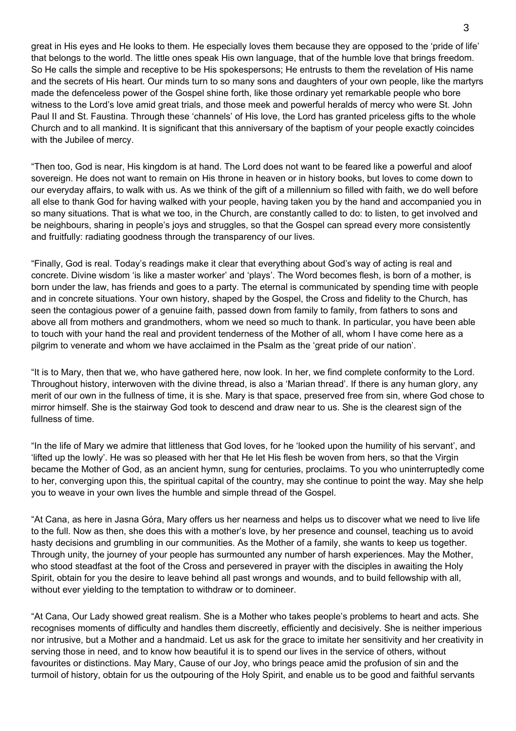great in His eyes and He looks to them. He especially loves them because they are opposed to the 'pride of life' that belongs to the world. The little ones speak His own language, that of the humble love that brings freedom. So He calls the simple and receptive to be His spokespersons; He entrusts to them the revelation of His name and the secrets of His heart. Our minds turn to so many sons and daughters of your own people, like the martyrs made the defenceless power of the Gospel shine forth, like those ordinary yet remarkable people who bore witness to the Lord's love amid great trials, and those meek and powerful heralds of mercy who were St. John Paul II and St. Faustina. Through these 'channels' of His love, the Lord has granted priceless gifts to the whole Church and to all mankind. It is significant that this anniversary of the baptism of your people exactly coincides with the Jubilee of mercy.

"Then too, God is near, His kingdom is at hand. The Lord does not want to be feared like a powerful and aloof sovereign. He does not want to remain on His throne in heaven or in history books, but loves to come down to our everyday affairs, to walk with us. As we think of the gift of a millennium so filled with faith, we do well before all else to thank God for having walked with your people, having taken you by the hand and accompanied you in so many situations. That is what we too, in the Church, are constantly called to do: to listen, to get involved and be neighbours, sharing in people's joys and struggles, so that the Gospel can spread every more consistently and fruitfully: radiating goodness through the transparency of our lives.

"Finally, God is real. Today's readings make it clear that everything about God's way of acting is real and concrete. Divine wisdom 'is like a master worker' and 'plays'. The Word becomes flesh, is born of a mother, is born under the law, has friends and goes to a party. The eternal is communicated by spending time with people and in concrete situations. Your own history, shaped by the Gospel, the Cross and fidelity to the Church, has seen the contagious power of a genuine faith, passed down from family to family, from fathers to sons and above all from mothers and grandmothers, whom we need so much to thank. In particular, you have been able to touch with your hand the real and provident tenderness of the Mother of all, whom I have come here as a pilgrim to venerate and whom we have acclaimed in the Psalm as the 'great pride of our nation'.

"It is to Mary, then that we, who have gathered here, now look. In her, we find complete conformity to the Lord. Throughout history, interwoven with the divine thread, is also a 'Marian thread'. If there is any human glory, any merit of our own in the fullness of time, it is she. Mary is that space, preserved free from sin, where God chose to mirror himself. She is the stairway God took to descend and draw near to us. She is the clearest sign of the fullness of time.

"In the life of Mary we admire that littleness that God loves, for he 'looked upon the humility of his servant', and 'lifted up the lowly'. He was so pleased with her that He let His flesh be woven from hers, so that the Virgin became the Mother of God, as an ancient hymn, sung for centuries, proclaims. To you who uninterruptedly come to her, converging upon this, the spiritual capital of the country, may she continue to point the way. May she help you to weave in your own lives the humble and simple thread of the Gospel.

"At Cana, as here in Jasna Góra, Mary offers us her nearness and helps us to discover what we need to live life to the full. Now as then, she does this with a mother's love, by her presence and counsel, teaching us to avoid hasty decisions and grumbling in our communities. As the Mother of a family, she wants to keep us together. Through unity, the journey of your people has surmounted any number of harsh experiences. May the Mother, who stood steadfast at the foot of the Cross and persevered in prayer with the disciples in awaiting the Holy Spirit, obtain for you the desire to leave behind all past wrongs and wounds, and to build fellowship with all, without ever yielding to the temptation to withdraw or to domineer.

"At Cana, Our Lady showed great realism. She is a Mother who takes people's problems to heart and acts. She recognises moments of difficulty and handles them discreetly, efficiently and decisively. She is neither imperious nor intrusive, but a Mother and a handmaid. Let us ask for the grace to imitate her sensitivity and her creativity in serving those in need, and to know how beautiful it is to spend our lives in the service of others, without favourites or distinctions. May Mary, Cause of our Joy, who brings peace amid the profusion of sin and the turmoil of history, obtain for us the outpouring of the Holy Spirit, and enable us to be good and faithful servants